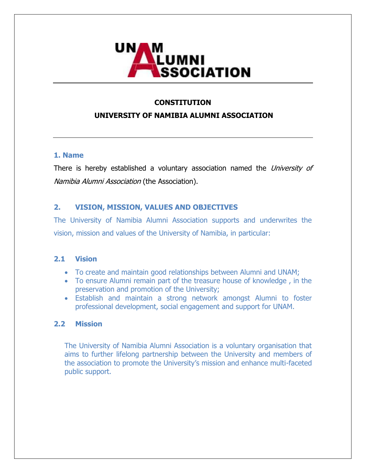

## **CONSTITUTION**

## **UNIVERSITY OF NAMIBIA ALUMNI ASSOCIATION**

### **1. Name**

There is hereby established a voluntary association named the University of Namibia Alumni Association (the Association).

## **2. VISION, MISSION, VALUES AND OBJECTIVES**

The University of Namibia Alumni Association supports and underwrites the vision, mission and values of the University of Namibia, in particular:

### **2.1 Vision**

- To create and maintain good relationships between Alumni and UNAM;
- To ensure Alumni remain part of the treasure house of knowledge , in the preservation and promotion of the University;
- Establish and maintain a strong network amongst Alumni to foster professional development, social engagement and support for UNAM.

### **2.2 Mission**

The University of Namibia Alumni Association is a voluntary organisation that aims to further lifelong partnership between the University and members of the association to promote the University's mission and enhance multi-faceted public support.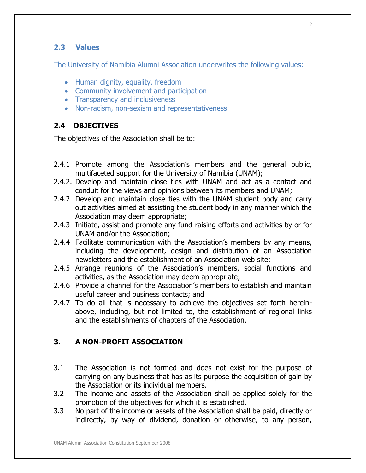## **2.3 Values**

The University of Namibia Alumni Association underwrites the following values:

- Human dignity, equality, freedom
- Community involvement and participation
- Transparency and inclusiveness
- Non-racism, non-sexism and representativeness

## **2.4 OBJECTIVES**

The objectives of the Association shall be to:

- 2.4.1 Promote among the Association's members and the general public, multifaceted support for the University of Namibia (UNAM);
- 2.4.2. Develop and maintain close ties with UNAM and act as a contact and conduit for the views and opinions between its members and UNAM;
- 2.4.2 Develop and maintain close ties with the UNAM student body and carry out activities aimed at assisting the student body in any manner which the Association may deem appropriate;
- 2.4.3 Initiate, assist and promote any fund-raising efforts and activities by or for UNAM and/or the Association;
- 2.4.4 Facilitate communication with the Association's members by any means, including the development, design and distribution of an Association newsletters and the establishment of an Association web site;
- 2.4.5 Arrange reunions of the Association's members, social functions and activities, as the Association may deem appropriate;
- 2.4.6 Provide a channel for the Association's members to establish and maintain useful career and business contacts; and
- 2.4.7 To do all that is necessary to achieve the objectives set forth hereinabove, including, but not limited to, the establishment of regional links and the establishments of chapters of the Association.

## **3. A NON-PROFIT ASSOCIATION**

- 3.1 The Association is not formed and does not exist for the purpose of carrying on any business that has as its purpose the acquisition of gain by the Association or its individual members.
- 3.2 The income and assets of the Association shall be applied solely for the promotion of the objectives for which it is established.
- 3.3 No part of the income or assets of the Association shall be paid, directly or indirectly, by way of dividend, donation or otherwise, to any person,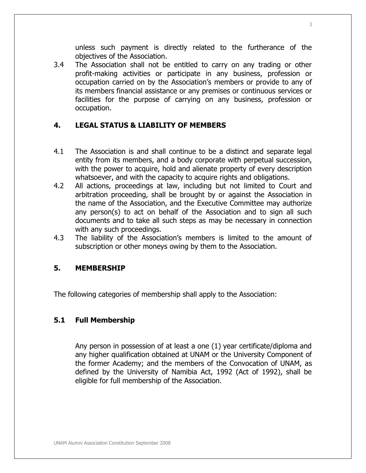unless such payment is directly related to the furtherance of the objectives of the Association.

3.4 The Association shall not be entitled to carry on any trading or other profit-making activities or participate in any business, profession or occupation carried on by the Association's members or provide to any of its members financial assistance or any premises or continuous services or facilities for the purpose of carrying on any business, profession or occupation.

## **4. LEGAL STATUS & LIABILITY OF MEMBERS**

- 4.1 The Association is and shall continue to be a distinct and separate legal entity from its members, and a body corporate with perpetual succession, with the power to acquire, hold and alienate property of every description whatsoever, and with the capacity to acquire rights and obligations.
- 4.2 All actions, proceedings at law, including but not limited to Court and arbitration proceeding, shall be brought by or against the Association in the name of the Association, and the Executive Committee may authorize any person(s) to act on behalf of the Association and to sign all such documents and to take all such steps as may be necessary in connection with any such proceedings.
- 4.3 The liability of the Association's members is limited to the amount of subscription or other moneys owing by them to the Association.

### **5. MEMBERSHIP**

The following categories of membership shall apply to the Association:

## **5.1 Full Membership**

Any person in possession of at least a one (1) year certificate/diploma and any higher qualification obtained at UNAM or the University Component of the former Academy; and the members of the Convocation of UNAM, as defined by the University of Namibia Act, 1992 (Act of 1992), shall be eligible for full membership of the Association.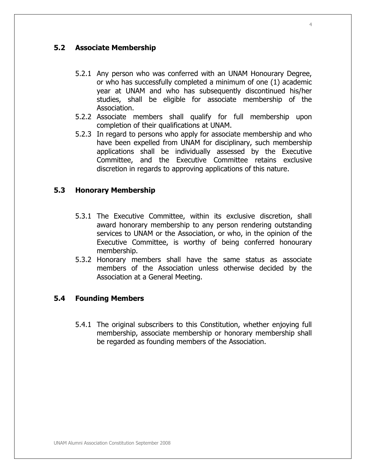## **5.2 Associate Membership**

- 5.2.1 Any person who was conferred with an UNAM Honourary Degree, or who has successfully completed a minimum of one (1) academic year at UNAM and who has subsequently discontinued his/her studies, shall be eligible for associate membership of the Association.
- 5.2.2 Associate members shall qualify for full membership upon completion of their qualifications at UNAM.
- 5.2.3 In regard to persons who apply for associate membership and who have been expelled from UNAM for disciplinary, such membership applications shall be individually assessed by the Executive Committee, and the Executive Committee retains exclusive discretion in regards to approving applications of this nature.

## **5.3 Honorary Membership**

- 5.3.1 The Executive Committee, within its exclusive discretion, shall award honorary membership to any person rendering outstanding services to UNAM or the Association, or who, in the opinion of the Executive Committee, is worthy of being conferred honourary membership.
- 5.3.2 Honorary members shall have the same status as associate members of the Association unless otherwise decided by the Association at a General Meeting.

### **5.4 Founding Members**

5.4.1 The original subscribers to this Constitution, whether enjoying full membership, associate membership or honorary membership shall be regarded as founding members of the Association.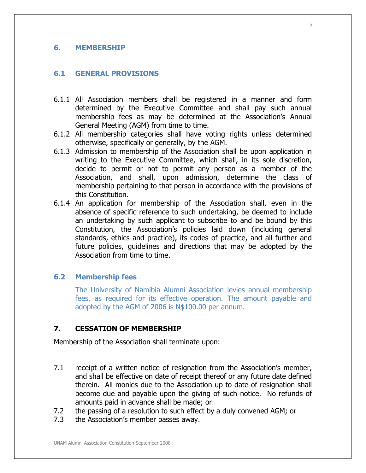#### **6. MEMBERSHIP**

### **6.1 GENERAL PROVISIONS**

- 6.1.1 All Association members shall be registered in a manner and form determined by the Executive Committee and shall pay such annual membership fees as may be determined at the Association's Annual General Meeting (AGM) from time to time.
- 6.1.2 All membership categories shall have voting rights unless determined otherwise, specifically or generally, by the AGM.
- 6.1.3 Admission to membership of the Association shall be upon application in writing to the Executive Committee, which shall, in its sole discretion, decide to permit or not to permit any person as a member of the Association, and shall, upon admission, determine the class of membership pertaining to that person in accordance with the provisions of this Constitution.
- 6.1.4 An application for membership of the Association shall, even in the absence of specific reference to such undertaking, be deemed to include an undertaking by such applicant to subscribe to and be bound by this Constitution, the Association's policies laid down (including general standards, ethics and practice), its codes of practice, and all further and future policies, guidelines and directions that may be adopted by the Association from time to time.

### **6.2 Membership fees**

The University of Namibia Alumni Association levies annual membership fees, as required for its effective operation. The amount payable and adopted by the AGM of 2006 is N\$100.00 per annum.

### **7. CESSATION OF MEMBERSHIP**

Membership of the Association shall terminate upon:

- 7.1 receipt of a written notice of resignation from the Association's member, and shall be effective on date of receipt thereof or any future date defined therein. All monies due to the Association up to date of resignation shall become due and payable upon the giving of such notice. No refunds of amounts paid in advance shall be made; or
- 7.2 the passing of a resolution to such effect by a duly convened AGM; or
- 7.3 the Association's member passes away.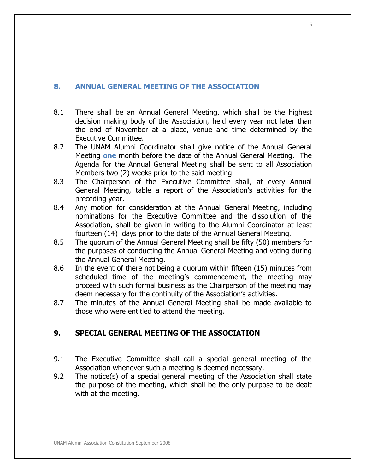## **8. ANNUAL GENERAL MEETING OF THE ASSOCIATION**

- 8.1 There shall be an Annual General Meeting, which shall be the highest decision making body of the Association, held every year not later than the end of November at a place, venue and time determined by the Executive Committee.
- 8.2 The UNAM Alumni Coordinator shall give notice of the Annual General Meeting **one** month before the date of the Annual General Meeting. The Agenda for the Annual General Meeting shall be sent to all Association Members two (2) weeks prior to the said meeting.
- 8.3 The Chairperson of the Executive Committee shall, at every Annual General Meeting, table a report of the Association's activities for the preceding year.
- 8.4 Any motion for consideration at the Annual General Meeting, including nominations for the Executive Committee and the dissolution of the Association, shall be given in writing to the Alumni Coordinator at least fourteen (14) days prior to the date of the Annual General Meeting.
- 8.5 The quorum of the Annual General Meeting shall be fifty (50) members for the purposes of conducting the Annual General Meeting and voting during the Annual General Meeting.
- 8.6 In the event of there not being a quorum within fifteen (15) minutes from scheduled time of the meeting's commencement, the meeting may proceed with such formal business as the Chairperson of the meeting may deem necessary for the continuity of the Association's activities.
- 8.7 The minutes of the Annual General Meeting shall be made available to those who were entitled to attend the meeting.

## **9. SPECIAL GENERAL MEETING OF THE ASSOCIATION**

- 9.1 The Executive Committee shall call a special general meeting of the Association whenever such a meeting is deemed necessary.
- 9.2 The notice(s) of a special general meeting of the Association shall state the purpose of the meeting, which shall be the only purpose to be dealt with at the meeting.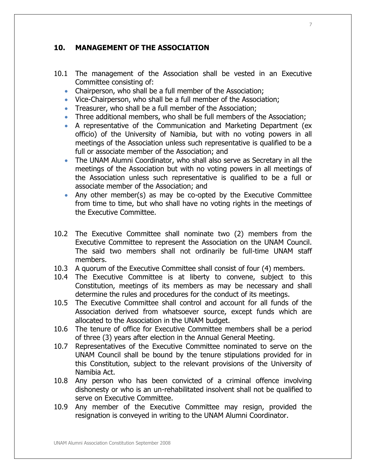## **10. MANAGEMENT OF THE ASSOCIATION**

- 10.1 The management of the Association shall be vested in an Executive Committee consisting of:
	- Chairperson, who shall be a full member of the Association;
	- Vice-Chairperson, who shall be a full member of the Association;
	- Treasurer, who shall be a full member of the Association;
	- Three additional members, who shall be full members of the Association;
	- A representative of the Communication and Marketing Department (ex officio) of the University of Namibia, but with no voting powers in all meetings of the Association unless such representative is qualified to be a full or associate member of the Association; and
	- The UNAM Alumni Coordinator, who shall also serve as Secretary in all the meetings of the Association but with no voting powers in all meetings of the Association unless such representative is qualified to be a full or associate member of the Association; and
	- Any other member(s) as may be co-opted by the Executive Committee from time to time, but who shall have no voting rights in the meetings of the Executive Committee.
- 10.2 The Executive Committee shall nominate two (2) members from the Executive Committee to represent the Association on the UNAM Council. The said two members shall not ordinarily be full-time UNAM staff members.
- 10.3 A quorum of the Executive Committee shall consist of four (4) members.
- 10.4 The Executive Committee is at liberty to convene, subject to this Constitution, meetings of its members as may be necessary and shall determine the rules and procedures for the conduct of its meetings.
- 10.5 The Executive Committee shall control and account for all funds of the Association derived from whatsoever source, except funds which are allocated to the Association in the UNAM budget.
- 10.6 The tenure of office for Executive Committee members shall be a period of three (3) years after election in the Annual General Meeting.
- 10.7 Representatives of the Executive Committee nominated to serve on the UNAM Council shall be bound by the tenure stipulations provided for in this Constitution, subject to the relevant provisions of the University of Namibia Act.
- 10.8 Any person who has been convicted of a criminal offence involving dishonesty or who is an un-rehabilitated insolvent shall not be qualified to serve on Executive Committee.
- 10.9 Any member of the Executive Committee may resign, provided the resignation is conveyed in writing to the UNAM Alumni Coordinator.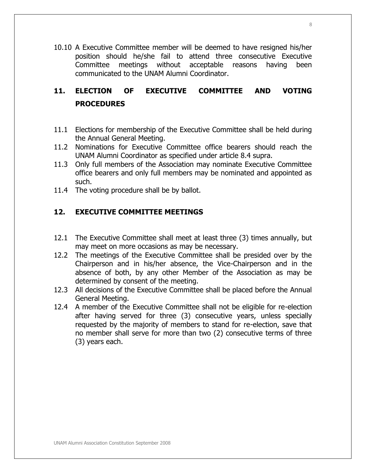10.10 A Executive Committee member will be deemed to have resigned his/her position should he/she fail to attend three consecutive Executive Committee meetings without acceptable reasons having been communicated to the UNAM Alumni Coordinator.

# **11. ELECTION OF EXECUTIVE COMMITTEE AND VOTING PROCEDURES**

- 11.1 Elections for membership of the Executive Committee shall be held during the Annual General Meeting.
- 11.2 Nominations for Executive Committee office bearers should reach the UNAM Alumni Coordinator as specified under article 8.4 supra.
- 11.3 Only full members of the Association may nominate Executive Committee office bearers and only full members may be nominated and appointed as such.
- 11.4 The voting procedure shall be by ballot.

## **12. EXECUTIVE COMMITTEE MEETINGS**

- 12.1 The Executive Committee shall meet at least three (3) times annually, but may meet on more occasions as may be necessary.
- 12.2 The meetings of the Executive Committee shall be presided over by the Chairperson and in his/her absence, the Vice-Chairperson and in the absence of both, by any other Member of the Association as may be determined by consent of the meeting.
- 12.3 All decisions of the Executive Committee shall be placed before the Annual General Meeting.
- 12.4 A member of the Executive Committee shall not be eligible for re-election after having served for three (3) consecutive years, unless specially requested by the majority of members to stand for re-election, save that no member shall serve for more than two (2) consecutive terms of three (3) years each.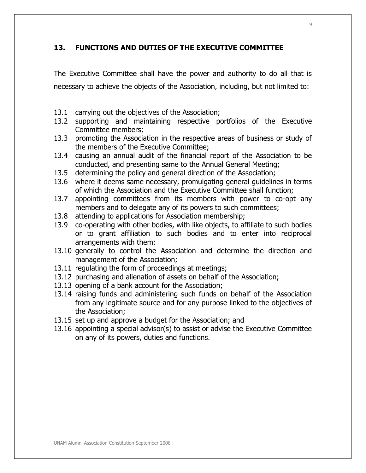## **13. FUNCTIONS AND DUTIES OF THE EXECUTIVE COMMITTEE**

The Executive Committee shall have the power and authority to do all that is necessary to achieve the objects of the Association, including, but not limited to:

- 13.1 carrying out the objectives of the Association;
- 13.2 supporting and maintaining respective portfolios of the Executive Committee members;
- 13.3 promoting the Association in the respective areas of business or study of the members of the Executive Committee;
- 13.4 causing an annual audit of the financial report of the Association to be conducted, and presenting same to the Annual General Meeting;
- 13.5 determining the policy and general direction of the Association;
- 13.6 where it deems same necessary, promulgating general guidelines in terms of which the Association and the Executive Committee shall function;
- 13.7 appointing committees from its members with power to co-opt any members and to delegate any of its powers to such committees;
- 13.8 attending to applications for Association membership;
- 13.9 co-operating with other bodies, with like objects, to affiliate to such bodies or to grant affiliation to such bodies and to enter into reciprocal arrangements with them;
- 13.10 generally to control the Association and determine the direction and management of the Association;
- 13.11 regulating the form of proceedings at meetings;
- 13.12 purchasing and alienation of assets on behalf of the Association;
- 13.13 opening of a bank account for the Association;
- 13.14 raising funds and administering such funds on behalf of the Association from any legitimate source and for any purpose linked to the objectives of the Association;
- 13.15 set up and approve a budget for the Association; and
- 13.16 appointing a special advisor(s) to assist or advise the Executive Committee on any of its powers, duties and functions.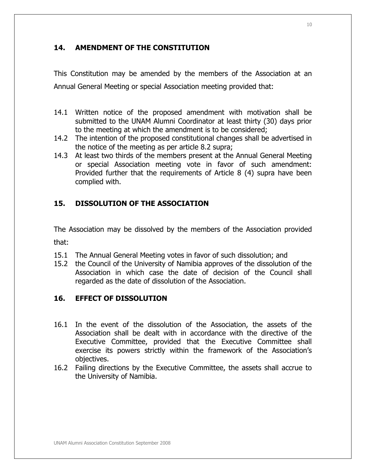## **14. AMENDMENT OF THE CONSTITUTION**

This Constitution may be amended by the members of the Association at an Annual General Meeting or special Association meeting provided that:

- 14.1 Written notice of the proposed amendment with motivation shall be submitted to the UNAM Alumni Coordinator at least thirty (30) days prior to the meeting at which the amendment is to be considered;
- 14.2 The intention of the proposed constitutional changes shall be advertised in the notice of the meeting as per article 8.2 supra;
- 14.3 At least two thirds of the members present at the Annual General Meeting or special Association meeting vote in favor of such amendment: Provided further that the requirements of Article 8 (4) supra have been complied with.

## **15. DISSOLUTION OF THE ASSOCIATION**

The Association may be dissolved by the members of the Association provided that:

- 15.1 The Annual General Meeting votes in favor of such dissolution; and
- 15.2 the Council of the University of Namibia approves of the dissolution of the Association in which case the date of decision of the Council shall regarded as the date of dissolution of the Association.

## **16. EFFECT OF DISSOLUTION**

- 16.1 In the event of the dissolution of the Association, the assets of the Association shall be dealt with in accordance with the directive of the Executive Committee, provided that the Executive Committee shall exercise its powers strictly within the framework of the Association's objectives.
- 16.2 Failing directions by the Executive Committee, the assets shall accrue to the University of Namibia.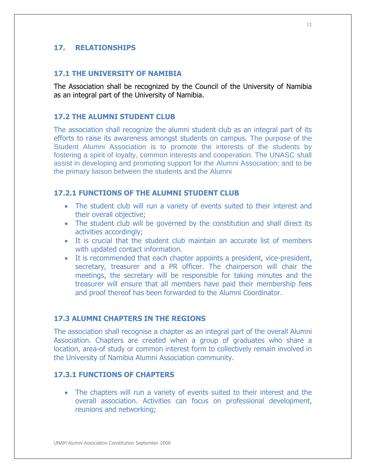### **17. RELATIONSHIPS**

## **17.1 THE UNIVERSITY OF NAMIBIA**

The Association shall be recognized by the Council of the University of Namibia as an integral part of the University of Namibia.

### **17.2 THE ALUMNI STUDENT CLUB**

The association shall recognize the alumni student club as an integral part of its efforts to raise its awareness amongst students on campus. The purpose of the Student Alumni Association is to promote the interests of the students by fostering a spirit of loyalty, common interests and cooperation. The UNASC shall assist in developing and promoting support for the Alumni Association; and to be the primary liaison between the students and the Alumni

### **17.2.1 FUNCTIONS OF THE ALUMNI STUDENT CLUB**

- The student club will run a variety of events suited to their interest and their overall objective;
- The student club will be governed by the constitution and shall direct its activities accordingly;
- It is crucial that the student club maintain an accurate list of members with updated contact information.
- It is recommended that each chapter appoints a president, vice-president, secretary, treasurer and a PR officer. The chairperson will chair the meetings, the secretary will be responsible for taking minutes and the treasurer will ensure that all members have paid their membership fees and proof thereof has been forwarded to the Alumni Coordinator.

#### **17.3 ALUMNI CHAPTERS IN THE REGIONS**

The association shall recognise a chapter as an integral part of the overall Alumni Association. Chapters are created when a group of graduates who share a location, area-of study or common interest form to collectively remain involved in the University of Namibia Alumni Association community.

## **17.3.1 FUNCTIONS OF CHAPTERS**

• The chapters will run a variety of events suited to their interest and the overall association. Activities can focus on professional development, reunions and networking;